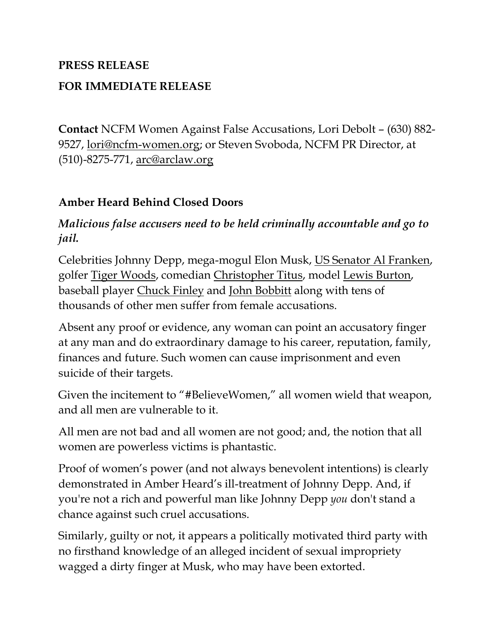## **PRESS RELEASE FOR IMMEDIATE RELEASE**

**Contact** NCFM Women Against False Accusations, Lori Debolt – (630) 882- 9527, [lori@ncfm-women.org;](mailto:lori@ncfm-women.org) or Steven Svoboda, NCFM PR Director, at (510)-8275-771, [arc@arclaw.org](mailto:arc@arclaw.org)

## **Amber Heard Behind Closed Doors**

## *Malicious false accusers need to be held criminally accountable and go to jail.*

Celebrities Johnny Depp, mega-mogul Elon Musk, [US Senator Al Franken,](https://www.bing.com/search?q=minnesota+comedian+senator&cvid=e88c291cb8b14fc6932fb616ea2c7904&aqs=edge.0.0j69i57j0l6.14063j0j1&pglt=299&FORM=ANNTA1&PC=HCTS) golfer [Tiger Woods,](https://www.theatlantic.com/culture/archive/2009/12/the-tiger-woods-incident-was-it-domestic-violence/347419/) comedian [Christopher Titus,](http://dish.andrewsullivan.com/2014/09/18/when-a-woman-beats-a-man-ctd/) model [Lewis Burton,](https://www.cnn.com/2019/12/23/entertainment/caroline-flack-pleads-intl-scli-gbr/index.html) baseball player [Chuck Finley](https://abcnews.go.com/2020/story?id=123755&page=1) and [John Bobbitt](https://en.wikipedia.org/wiki/John_and_Lorena_Bobbitt) along with tens of thousands of other men suffer from female accusations.

Absent any proof or evidence, any woman can point an accusatory finger at any man and do extraordinary damage to his career, reputation, family, finances and future. Such women can cause imprisonment and even suicide of their targets.

Given the incitement to "#BelieveWomen," all women wield that weapon, and all men are vulnerable to it.

All men are not bad and all women are not good; and, the notion that all women are powerless victims is phantastic.

Proof of women's power (and not always benevolent intentions) is clearly demonstrated in Amber Heard's ill-treatment of Johnny Depp. And, if you're not a rich and powerful man like Johnny Depp *you* don't stand a chance against such cruel accusations.

Similarly, guilty or not, it appears a politically motivated third party with no firsthand knowledge of an alleged incident of sexual impropriety wagged a dirty finger at Musk, who may have been extorted.